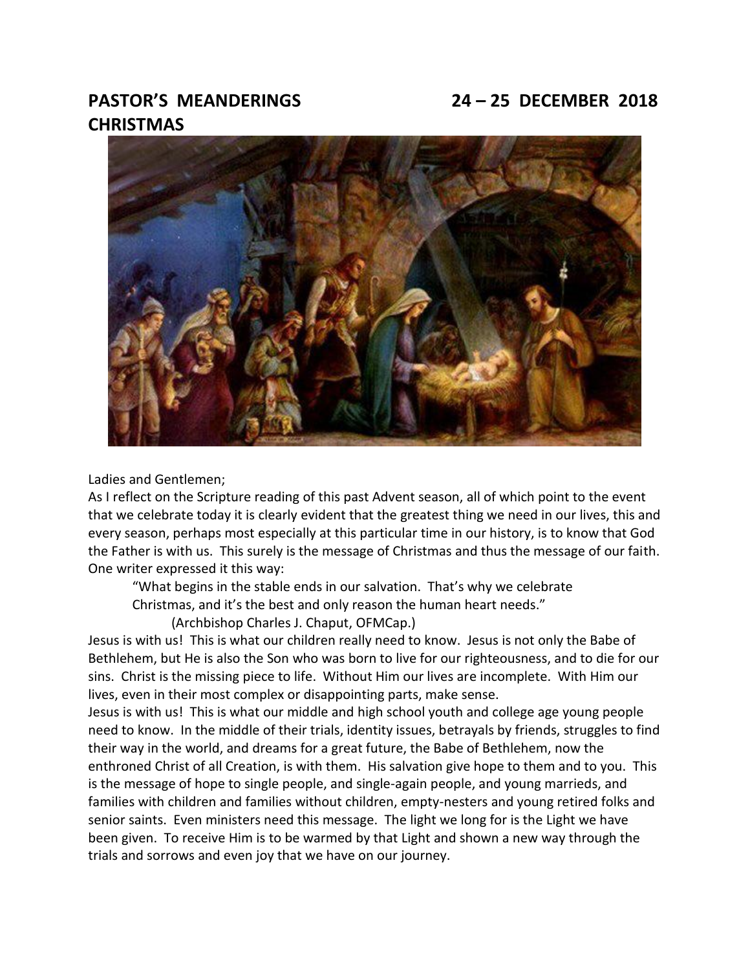# **PASTOR'S MEANDERINGS 24 – 25 DECEMBER 2018 CHRISTMAS**



Ladies and Gentlemen;

As I reflect on the Scripture reading of this past Advent season, all of which point to the event that we celebrate today it is clearly evident that the greatest thing we need in our lives, this and every season, perhaps most especially at this particular time in our history, is to know that God the Father is with us. This surely is the message of Christmas and thus the message of our faith. One writer expressed it this way:

"What begins in the stable ends in our salvation. That's why we celebrate

Christmas, and it's the best and only reason the human heart needs."

(Archbishop Charles J. Chaput, OFMCap.)

Jesus is with us! This is what our children really need to know. Jesus is not only the Babe of Bethlehem, but He is also the Son who was born to live for our righteousness, and to die for our sins. Christ is the missing piece to life. Without Him our lives are incomplete. With Him our lives, even in their most complex or disappointing parts, make sense.

Jesus is with us! This is what our middle and high school youth and college age young people need to know. In the middle of their trials, identity issues, betrayals by friends, struggles to find their way in the world, and dreams for a great future, the Babe of Bethlehem, now the enthroned Christ of all Creation, is with them. His salvation give hope to them and to you. This is the message of hope to single people, and single-again people, and young marrieds, and families with children and families without children, empty-nesters and young retired folks and senior saints. Even ministers need this message. The light we long for is the Light we have been given. To receive Him is to be warmed by that Light and shown a new way through the trials and sorrows and even joy that we have on our journey.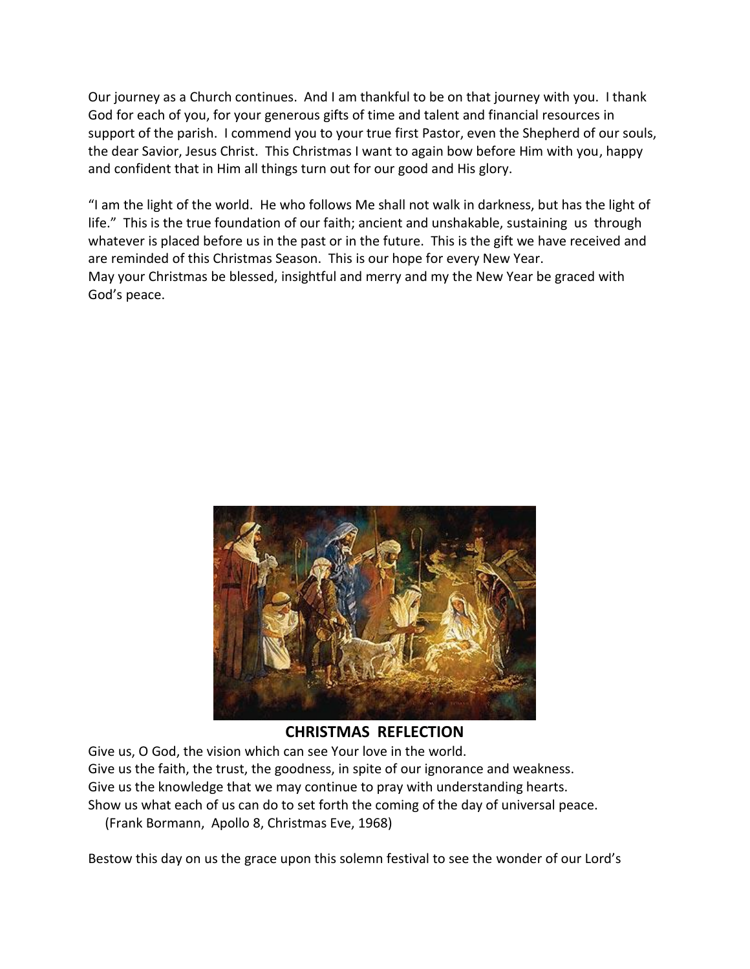Our journey as a Church continues. And I am thankful to be on that journey with you. I thank God for each of you, for your generous gifts of time and talent and financial resources in support of the parish. I commend you to your true first Pastor, even the Shepherd of our souls, the dear Savior, Jesus Christ. This Christmas I want to again bow before Him with you, happy and confident that in Him all things turn out for our good and His glory.

"I am the light of the world. He who follows Me shall not walk in darkness, but has the light of life." This is the true foundation of our faith; ancient and unshakable, sustaining us through whatever is placed before us in the past or in the future. This is the gift we have received and are reminded of this Christmas Season. This is our hope for every New Year. May your Christmas be blessed, insightful and merry and my the New Year be graced with God's peace.



**CHRISTMAS REFLECTION**

Give us, O God, the vision which can see Your love in the world. Give us the faith, the trust, the goodness, in spite of our ignorance and weakness. Give us the knowledge that we may continue to pray with understanding hearts. Show us what each of us can do to set forth the coming of the day of universal peace. (Frank Bormann, Apollo 8, Christmas Eve, 1968)

Bestow this day on us the grace upon this solemn festival to see the wonder of our Lord's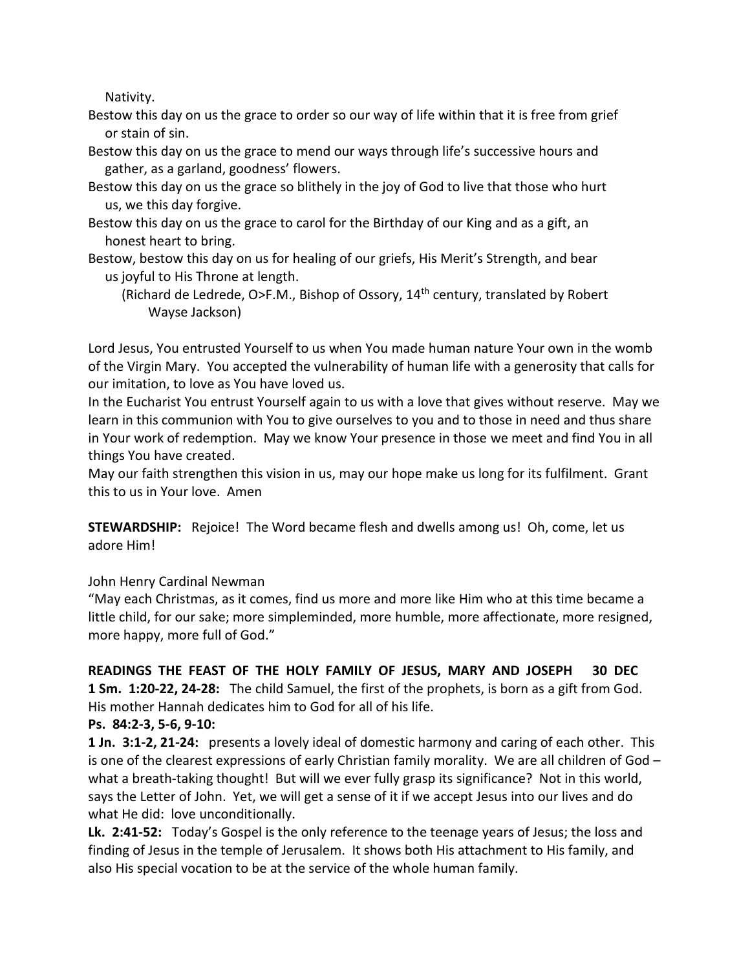Nativity.

- Bestow this day on us the grace to order so our way of life within that it is free from grief or stain of sin.
- Bestow this day on us the grace to mend our ways through life's successive hours and gather, as a garland, goodness' flowers.
- Bestow this day on us the grace so blithely in the joy of God to live that those who hurt us, we this day forgive.
- Bestow this day on us the grace to carol for the Birthday of our King and as a gift, an honest heart to bring.
- Bestow, bestow this day on us for healing of our griefs, His Merit's Strength, and bear us joyful to His Throne at length.
	- (Richard de Ledrede, O>F.M., Bishop of Ossory, 14th century, translated by Robert Wayse Jackson)

Lord Jesus, You entrusted Yourself to us when You made human nature Your own in the womb of the Virgin Mary. You accepted the vulnerability of human life with a generosity that calls for our imitation, to love as You have loved us.

In the Eucharist You entrust Yourself again to us with a love that gives without reserve. May we learn in this communion with You to give ourselves to you and to those in need and thus share in Your work of redemption. May we know Your presence in those we meet and find You in all things You have created.

May our faith strengthen this vision in us, may our hope make us long for its fulfilment. Grant this to us in Your love. Amen

**STEWARDSHIP:** Rejoice! The Word became flesh and dwells among us! Oh, come, let us adore Him!

John Henry Cardinal Newman

"May each Christmas, as it comes, find us more and more like Him who at this time became a little child, for our sake; more simpleminded, more humble, more affectionate, more resigned, more happy, more full of God."

**READINGS THE FEAST OF THE HOLY FAMILY OF JESUS, MARY AND JOSEPH 30 DEC 1 Sm. 1:20-22, 24-28:** The child Samuel, the first of the prophets, is born as a gift from God. His mother Hannah dedicates him to God for all of his life.

## **Ps. 84:2-3, 5-6, 9-10:**

**1 Jn. 3:1-2, 21-24:** presents a lovely ideal of domestic harmony and caring of each other. This is one of the clearest expressions of early Christian family morality. We are all children of God – what a breath-taking thought! But will we ever fully grasp its significance? Not in this world, says the Letter of John. Yet, we will get a sense of it if we accept Jesus into our lives and do what He did: love unconditionally.

**Lk. 2:41-52:** Today's Gospel is the only reference to the teenage years of Jesus; the loss and finding of Jesus in the temple of Jerusalem. It shows both His attachment to His family, and also His special vocation to be at the service of the whole human family.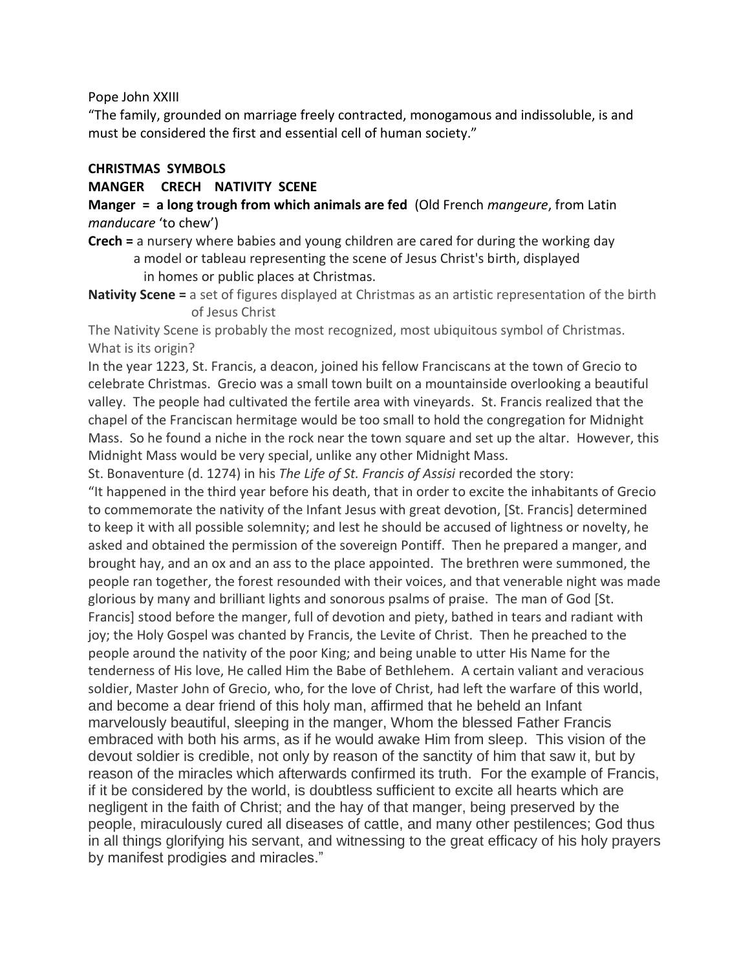Pope John XXIII

"The family, grounded on marriage freely contracted, monogamous and indissoluble, is and must be considered the first and essential cell of human society."

## **CHRISTMAS SYMBOLS**

## **MANGER CRECH NATIVITY SCENE**

**Manger = a long trough from which animals are fed** (Old French *mangeure*, from Latin *manducare* 'to chew')

**Crech =** a nursery where babies and young children are cared for during the working day a model or tableau representing the scene of Jesus Christ's birth, displayed

in homes or public places at Christmas.

**Nativity Scene =** a set of figures displayed at Christmas as an artistic representation of the birth of Jesus Christ

The Nativity Scene is probably the most recognized, most ubiquitous symbol of Christmas. What is its origin?

In the year 1223, St. Francis, a deacon, joined his fellow Franciscans at the town of Grecio to celebrate Christmas. Grecio was a small town built on a mountainside overlooking a beautiful valley. The people had cultivated the fertile area with vineyards. St. Francis realized that the chapel of the Franciscan hermitage would be too small to hold the congregation for Midnight Mass. So he found a niche in the rock near the town square and set up the altar. However, this Midnight Mass would be very special, unlike any other Midnight Mass.

St. Bonaventure (d. 1274) in his *The Life of St. Francis of Assisi* recorded the story:

"It happened in the third year before his death, that in order to excite the inhabitants of Grecio to commemorate the nativity of the Infant Jesus with great devotion, [St. Francis] determined to keep it with all possible solemnity; and lest he should be accused of lightness or novelty, he asked and obtained the permission of the sovereign Pontiff. Then he prepared a manger, and brought hay, and an ox and an ass to the place appointed. The brethren were summoned, the people ran together, the forest resounded with their voices, and that venerable night was made glorious by many and brilliant lights and sonorous psalms of praise. The man of God [St. Francis] stood before the manger, full of devotion and piety, bathed in tears and radiant with joy; the Holy Gospel was chanted by Francis, the Levite of Christ. Then he preached to the people around the nativity of the poor King; and being unable to utter His Name for the tenderness of His love, He called Him the Babe of Bethlehem. A certain valiant and veracious soldier, Master John of Grecio, who, for the love of Christ, had left the warfare of this world, and become a dear friend of this holy man, affirmed that he beheld an Infant marvelously beautiful, sleeping in the manger, Whom the blessed Father Francis embraced with both his arms, as if he would awake Him from sleep. This vision of the devout soldier is credible, not only by reason of the sanctity of him that saw it, but by reason of the miracles which afterwards confirmed its truth. For the example of Francis, if it be considered by the world, is doubtless sufficient to excite all hearts which are negligent in the faith of Christ; and the hay of that manger, being preserved by the people, miraculously cured all diseases of cattle, and many other pestilences; God thus in all things glorifying his servant, and witnessing to the great efficacy of his holy prayers by manifest prodigies and miracles."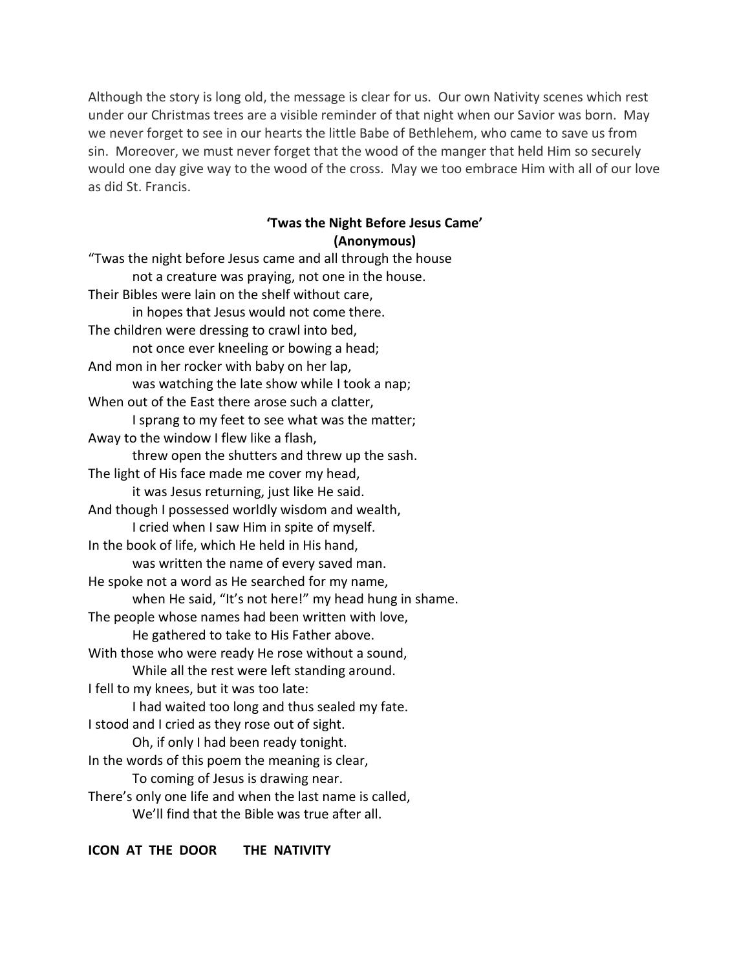Although the story is long old, the message is clear for us. Our own Nativity scenes which rest under our Christmas trees are a visible reminder of that night when our Savior was born. May we never forget to see in our hearts the little Babe of Bethlehem, who came to save us from sin. Moreover, we must never forget that the wood of the manger that held Him so securely would one day give way to the wood of the cross. May we too embrace Him with all of our love as did St. Francis.

## **'Twas the Night Before Jesus Came'**

### **(Anonymous)**

"Twas the night before Jesus came and all through the house not a creature was praying, not one in the house. Their Bibles were lain on the shelf without care, in hopes that Jesus would not come there. The children were dressing to crawl into bed, not once ever kneeling or bowing a head; And mon in her rocker with baby on her lap, was watching the late show while I took a nap; When out of the East there arose such a clatter, I sprang to my feet to see what was the matter; Away to the window I flew like a flash, threw open the shutters and threw up the sash. The light of His face made me cover my head, it was Jesus returning, just like He said. And though I possessed worldly wisdom and wealth, I cried when I saw Him in spite of myself. In the book of life, which He held in His hand, was written the name of every saved man. He spoke not a word as He searched for my name, when He said, "It's not here!" my head hung in shame. The people whose names had been written with love, He gathered to take to His Father above. With those who were ready He rose without a sound, While all the rest were left standing around. I fell to my knees, but it was too late: I had waited too long and thus sealed my fate. I stood and I cried as they rose out of sight. Oh, if only I had been ready tonight. In the words of this poem the meaning is clear, To coming of Jesus is drawing near. There's only one life and when the last name is called, We'll find that the Bible was true after all.

#### **ICON AT THE DOOR THE NATIVITY**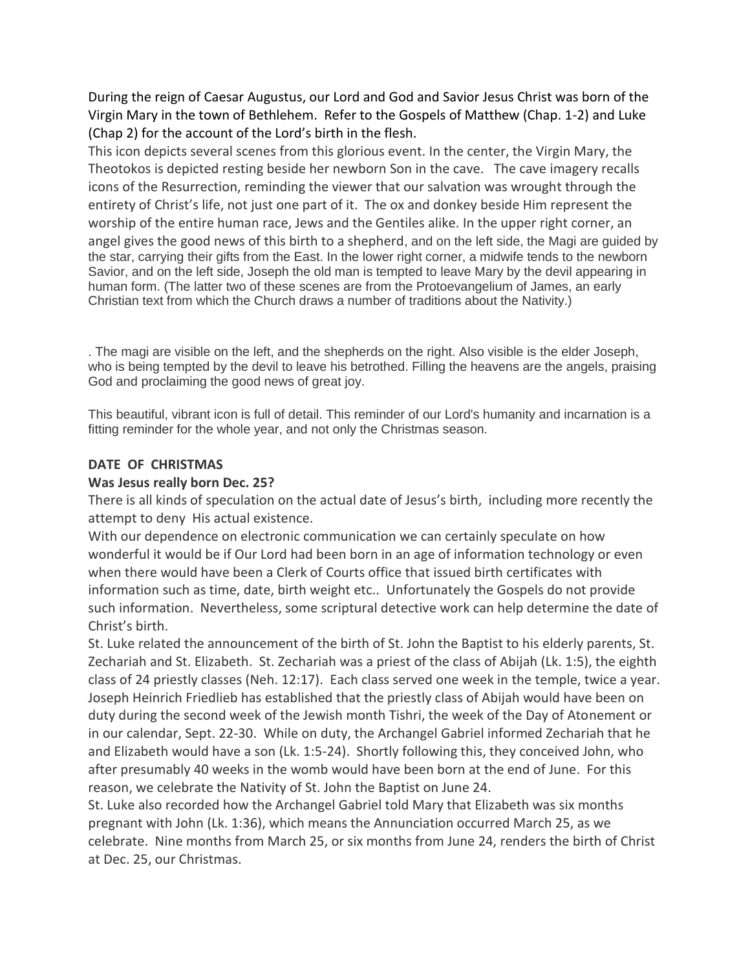During the reign of Caesar Augustus, our Lord and God and Savior Jesus Christ was born of the Virgin Mary in the town of Bethlehem. Refer to the Gospels of Matthew (Chap. 1-2) and Luke (Chap 2) for the account of the Lord's birth in the flesh.

This icon depicts several scenes from this glorious event. In the center, the Virgin Mary, the Theotokos is depicted resting beside her newborn Son in the cave. The cave imagery recalls icons of the Resurrection, reminding the viewer that our salvation was wrought through the entirety of Christ's life, not just one part of it. The ox and donkey beside Him represent the worship of the entire human race, Jews and the Gentiles alike. In the upper right corner, an angel gives the good news of this birth to a shepherd, and on the left side, the Magi are guided by the star, carrying their gifts from the East. In the lower right corner, a midwife tends to the newborn Savior, and on the left side, Joseph the old man is tempted to leave Mary by the devil appearing in human form. (The latter two of these scenes are from the Protoevangelium of James, an early Christian text from which the Church draws a number of traditions about the Nativity.)

. The magi are visible on the left, and the shepherds on the right. Also visible is the elder Joseph, who is being tempted by the devil to leave his betrothed. Filling the heavens are the angels, praising God and proclaiming the good news of great joy.

This beautiful, vibrant icon is full of detail. This reminder of our Lord's humanity and incarnation is a fitting reminder for the whole year, and not only the Christmas season.

## **DATE OF CHRISTMAS**

## **Was Jesus really born Dec. 25?**

There is all kinds of speculation on the actual date of Jesus's birth, including more recently the attempt to deny His actual existence.

With our dependence on electronic communication we can certainly speculate on how wonderful it would be if Our Lord had been born in an age of information technology or even when there would have been a Clerk of Courts office that issued birth certificates with information such as time, date, birth weight etc.. Unfortunately the Gospels do not provide such information. Nevertheless, some scriptural detective work can help determine the date of Christ's birth.

St. Luke related the announcement of the birth of St. John the Baptist to his elderly parents, St. Zechariah and St. Elizabeth. St. Zechariah was a priest of the class of Abijah (Lk. 1:5), the eighth class of 24 priestly classes (Neh. 12:17). Each class served one week in the temple, twice a year. Joseph Heinrich Friedlieb has established that the priestly class of Abijah would have been on duty during the second week of the Jewish month Tishri, the week of the Day of Atonement or in our calendar, Sept. 22-30. While on duty, the Archangel Gabriel informed Zechariah that he and Elizabeth would have a son (Lk. 1:5-24). Shortly following this, they conceived John, who after presumably 40 weeks in the womb would have been born at the end of June. For this reason, we celebrate the Nativity of St. John the Baptist on June 24.

St. Luke also recorded how the Archangel Gabriel told Mary that Elizabeth was six months pregnant with John (Lk. 1:36), which means the Annunciation occurred March 25, as we celebrate. Nine months from March 25, or six months from June 24, renders the birth of Christ at Dec. 25, our Christmas.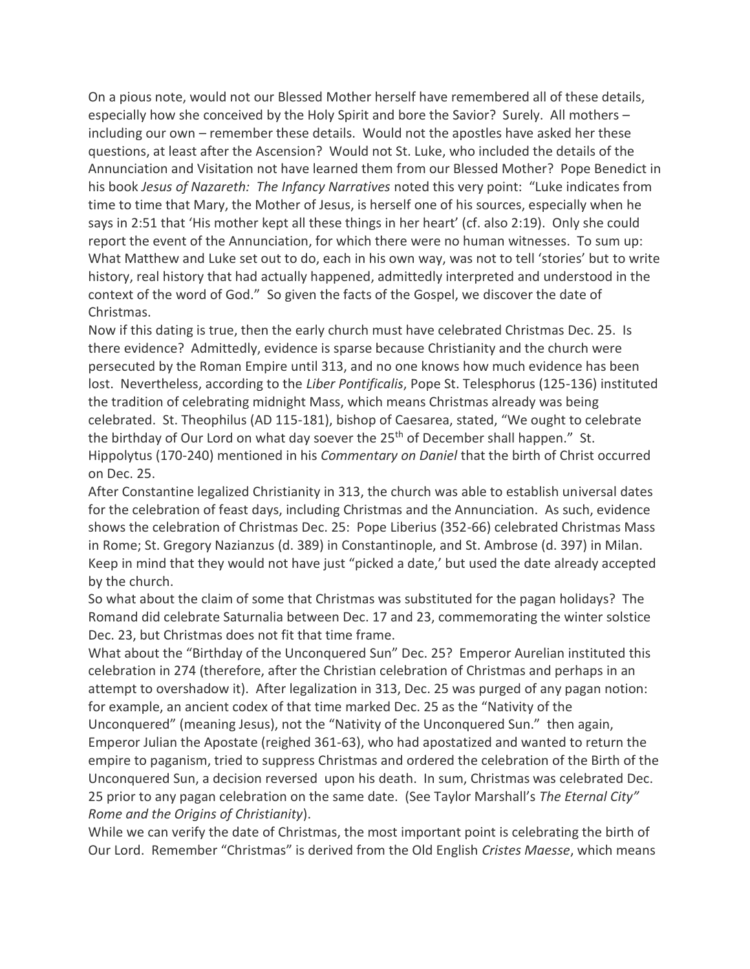On a pious note, would not our Blessed Mother herself have remembered all of these details, especially how she conceived by the Holy Spirit and bore the Savior? Surely. All mothers – including our own – remember these details. Would not the apostles have asked her these questions, at least after the Ascension? Would not St. Luke, who included the details of the Annunciation and Visitation not have learned them from our Blessed Mother? Pope Benedict in his book *Jesus of Nazareth: The Infancy Narratives* noted this very point: "Luke indicates from time to time that Mary, the Mother of Jesus, is herself one of his sources, especially when he says in 2:51 that 'His mother kept all these things in her heart' (cf. also 2:19). Only she could report the event of the Annunciation, for which there were no human witnesses. To sum up: What Matthew and Luke set out to do, each in his own way, was not to tell 'stories' but to write history, real history that had actually happened, admittedly interpreted and understood in the context of the word of God." So given the facts of the Gospel, we discover the date of Christmas.

Now if this dating is true, then the early church must have celebrated Christmas Dec. 25. Is there evidence? Admittedly, evidence is sparse because Christianity and the church were persecuted by the Roman Empire until 313, and no one knows how much evidence has been lost. Nevertheless, according to the *Liber Pontificalis*, Pope St. Telesphorus (125-136) instituted the tradition of celebrating midnight Mass, which means Christmas already was being celebrated. St. Theophilus (AD 115-181), bishop of Caesarea, stated, "We ought to celebrate the birthday of Our Lord on what day soever the  $25<sup>th</sup>$  of December shall happen." St. Hippolytus (170-240) mentioned in his *Commentary on Daniel* that the birth of Christ occurred on Dec. 25.

After Constantine legalized Christianity in 313, the church was able to establish universal dates for the celebration of feast days, including Christmas and the Annunciation. As such, evidence shows the celebration of Christmas Dec. 25: Pope Liberius (352-66) celebrated Christmas Mass in Rome; St. Gregory Nazianzus (d. 389) in Constantinople, and St. Ambrose (d. 397) in Milan. Keep in mind that they would not have just "picked a date,' but used the date already accepted by the church.

So what about the claim of some that Christmas was substituted for the pagan holidays? The Romand did celebrate Saturnalia between Dec. 17 and 23, commemorating the winter solstice Dec. 23, but Christmas does not fit that time frame.

What about the "Birthday of the Unconquered Sun" Dec. 25? Emperor Aurelian instituted this celebration in 274 (therefore, after the Christian celebration of Christmas and perhaps in an attempt to overshadow it). After legalization in 313, Dec. 25 was purged of any pagan notion: for example, an ancient codex of that time marked Dec. 25 as the "Nativity of the Unconquered" (meaning Jesus), not the "Nativity of the Unconquered Sun." then again, Emperor Julian the Apostate (reighed 361-63), who had apostatized and wanted to return the empire to paganism, tried to suppress Christmas and ordered the celebration of the Birth of the Unconquered Sun, a decision reversed upon his death. In sum, Christmas was celebrated Dec. 25 prior to any pagan celebration on the same date. (See Taylor Marshall's *The Eternal City" Rome and the Origins of Christianity*).

While we can verify the date of Christmas, the most important point is celebrating the birth of Our Lord. Remember "Christmas" is derived from the Old English *Cristes Maesse*, which means